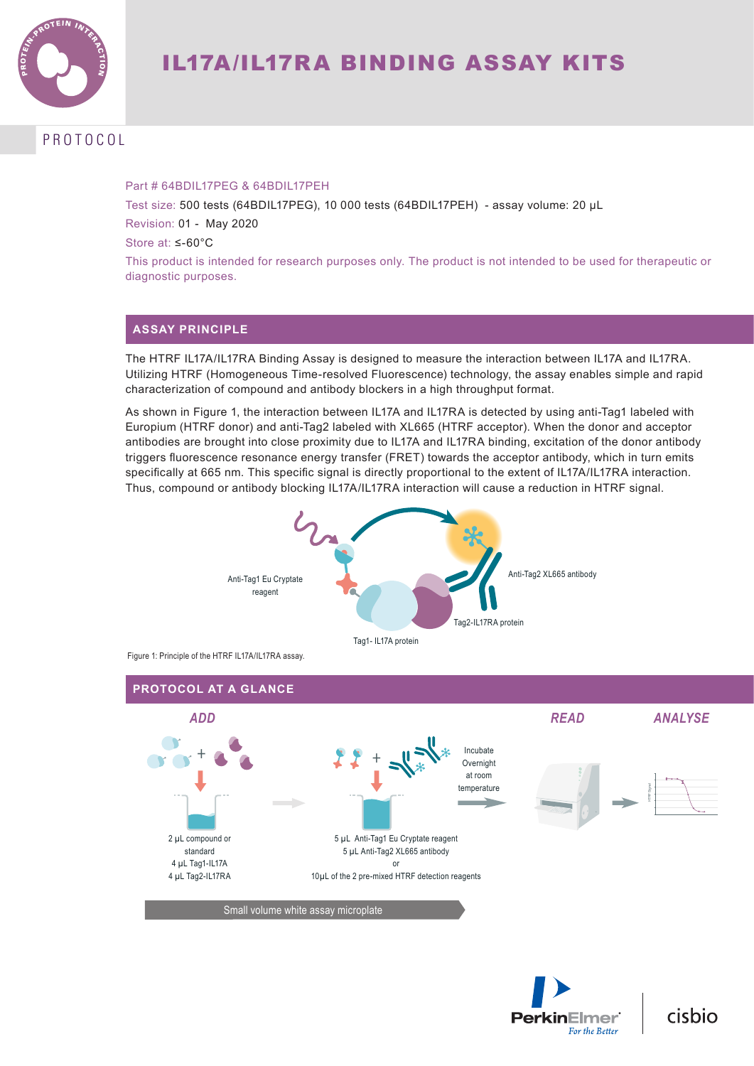

# PROTOCOL

### Part # 64BDIL17PEG & 64BDIL17PEH

Test size: 500 tests (64BDIL17PEG), 10 000 tests (64BDIL17PEH) - assay volume: 20 µL Revision: 01 - May 2020

Store at: ≤-60°C

This product is intended for research purposes only. The product is not intended to be used for therapeutic or diagnostic purposes.

## **ASSAY PRINCIPLE**

The HTRF IL17A/IL17RA Binding Assay is designed to measure the interaction between IL17A and IL17RA. Utilizing HTRF (Homogeneous Time-resolved Fluorescence) technology, the assay enables simple and rapid characterization of compound and antibody blockers in a high throughput format.

As shown in Figure 1, the interaction between IL17A and IL17RA is detected by using anti-Tag1 labeled with Europium (HTRF donor) and anti-Tag2 labeled with XL665 (HTRF acceptor). When the donor and acceptor antibodies are brought into close proximity due to IL17A and IL17RA binding, excitation of the donor antibody triggers fluorescence resonance energy transfer (FRET) towards the acceptor antibody, which in turn emits specifically at 665 nm. This specific signal is directly proportional to the extent of IL17A/IL17RA interaction. Thus, compound or antibody blocking IL17A/IL17RA interaction will cause a reduction in HTRF signal.



Figure 1: Principle of the HTRF IL17A/IL17RA assay.





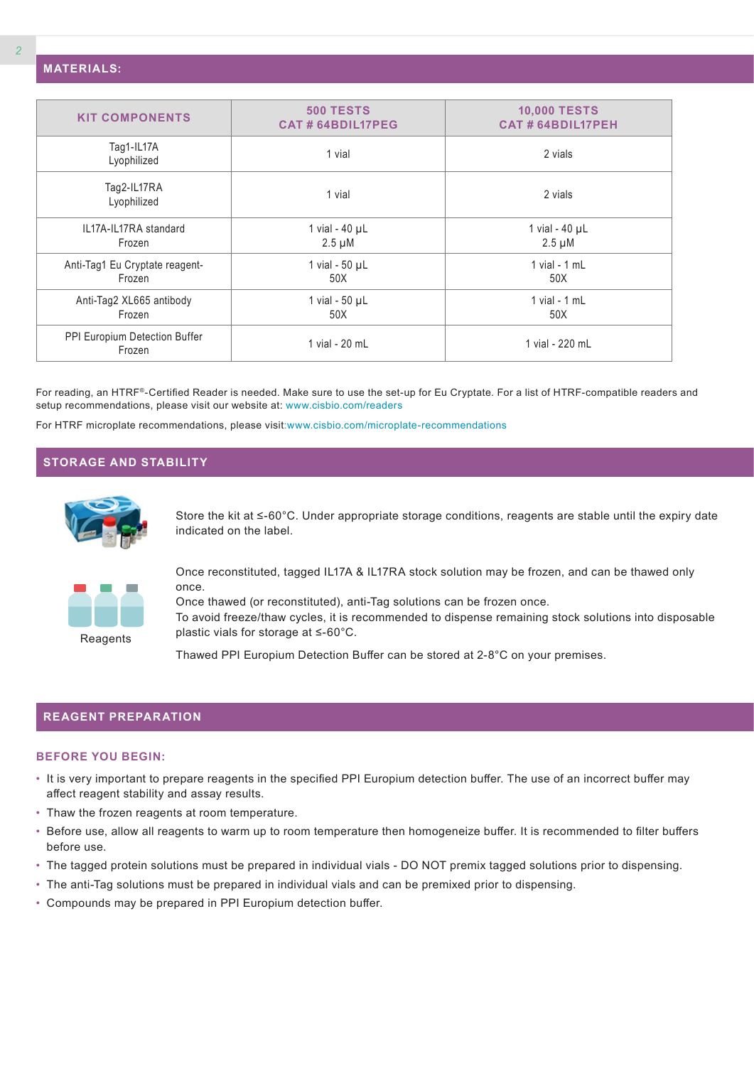| <b>KIT COMPONENTS</b>                    | <b>500 TESTS</b><br><b>CAT#64BDIL17PEG</b> | <b>10,000 TESTS</b><br><b>CAT#64BDIL17PEH</b> |
|------------------------------------------|--------------------------------------------|-----------------------------------------------|
| Tag1-IL17A<br>Lyophilized                | 1 vial                                     | 2 vials                                       |
| Tag2-IL17RA<br>Lyophilized               | 1 vial                                     | 2 vials                                       |
| IL17A-IL17RA standard<br>Frozen          | 1 vial - $40 \mu L$<br>$2.5 \mu M$         | 1 vial - $40 \mu L$<br>$2.5 \mu M$            |
| Anti-Tag1 Eu Cryptate reagent-<br>Frozen | 1 vial - $50 \mu L$<br>50X                 | $1$ vial - $1$ mL<br>50X                      |
| Anti-Tag2 XL665 antibody<br>Frozen       | 1 vial - $50 \mu L$<br>50X                 | 1 vial $-1$ mL<br>50X                         |
| PPI Europium Detection Buffer<br>Frozen  | 1 vial - 20 mL                             | 1 vial - 220 mL                               |

For reading, an HTRF®-Certified Reader is needed. Make sure to use the set-up for Eu Cryptate. For a list of HTRF-compatible readers and setup recommendations, please visit our website at: www.cisbio.com/readers

For HTRF microplate recommendations, please visit:www.cisbio.com/microplate-recommendations

## **STORAGE AND STABILITY**



Store the kit at ≤-60°C. Under appropriate storage conditions, reagents are stable until the expiry date indicated on the label.



**Reagents** 

Once reconstituted, tagged IL17A & IL17RA stock solution may be frozen, and can be thawed only once.

Once thawed (or reconstituted), anti-Tag solutions can be frozen once. To avoid freeze/thaw cycles, it is recommended to dispense remaining stock solutions into disposable plastic vials for storage at ≤-60°C.

Thawed PPI Europium Detection Buffer can be stored at 2-8°C on your premises.

### **REAGENT PREPARATION**

#### **BEFORE YOU BEGIN:**

- It is very important to prepare reagents in the specified PPI Europium detection buffer. The use of an incorrect buffer may affect reagent stability and assay results.
- Thaw the frozen reagents at room temperature.
- Before use, allow all reagents to warm up to room temperature then homogeneize buffer. It is recommended to filter buffers before use.
- The tagged protein solutions must be prepared in individual vials DO NOT premix tagged solutions prior to dispensing.
- The anti-Tag solutions must be prepared in individual vials and can be premixed prior to dispensing.
- Compounds may be prepared in PPI Europium detection buffer.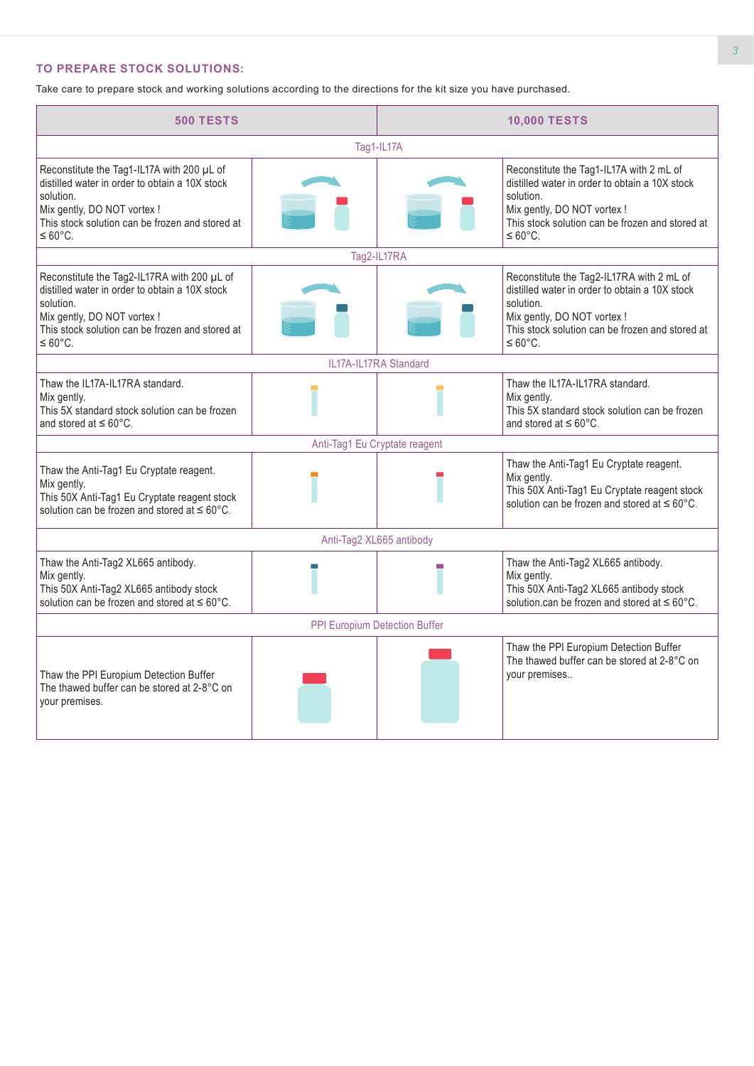## **TO PREPARE STOCK SOLUTIONS:**

Take care to prepare stock and working solutions according to the directions for the kit size you have purchased.

| <b>500 TESTS</b>                                                                                                                                                                                                     |                          | <b>10,000 TESTS</b>           |                                                                                                                                                                                                                    |  |  |
|----------------------------------------------------------------------------------------------------------------------------------------------------------------------------------------------------------------------|--------------------------|-------------------------------|--------------------------------------------------------------------------------------------------------------------------------------------------------------------------------------------------------------------|--|--|
|                                                                                                                                                                                                                      |                          | Tag1-IL17A                    |                                                                                                                                                                                                                    |  |  |
| Reconstitute the Tag1-IL17A with 200 µL of<br>distilled water in order to obtain a 10X stock<br>solution.<br>Mix gently, DO NOT vortex !<br>This stock solution can be frozen and stored at<br>$\leq 60^{\circ}$ C.  |                          |                               | Reconstitute the Tag1-IL17A with 2 mL of<br>distilled water in order to obtain a 10X stock<br>solution.<br>Mix gently, DO NOT vortex !<br>This stock solution can be frozen and stored at<br>$\leq 60^{\circ}$ C.  |  |  |
|                                                                                                                                                                                                                      |                          | Tag2-IL17RA                   |                                                                                                                                                                                                                    |  |  |
| Reconstitute the Tag2-IL17RA with 200 µL of<br>distilled water in order to obtain a 10X stock<br>solution.<br>Mix gently, DO NOT vortex !<br>This stock solution can be frozen and stored at<br>$\leq 60^{\circ}$ C. |                          |                               | Reconstitute the Tag2-IL17RA with 2 mL of<br>distilled water in order to obtain a 10X stock<br>solution.<br>Mix gently, DO NOT vortex !<br>This stock solution can be frozen and stored at<br>$\leq 60^{\circ}$ C. |  |  |
|                                                                                                                                                                                                                      |                          | IL17A-IL17RA Standard         |                                                                                                                                                                                                                    |  |  |
| Thaw the IL17A-IL17RA standard.<br>Mix gently.<br>This 5X standard stock solution can be frozen<br>and stored at $\leq 60^{\circ}$ C.                                                                                |                          |                               | Thaw the IL17A-IL17RA standard.<br>Mix gently.<br>This 5X standard stock solution can be frozen<br>and stored at $\leq 60^{\circ}$ C.                                                                              |  |  |
|                                                                                                                                                                                                                      |                          | Anti-Tag1 Eu Cryptate reagent |                                                                                                                                                                                                                    |  |  |
| Thaw the Anti-Tag1 Eu Cryptate reagent.<br>Mix gently.<br>This 50X Anti-Tag1 Eu Cryptate reagent stock<br>solution can be frozen and stored at $\leq 60^{\circ}$ C.                                                  |                          |                               | Thaw the Anti-Tag1 Eu Cryptate reagent.<br>Mix gently.<br>This 50X Anti-Tag1 Eu Cryptate reagent stock<br>solution can be frozen and stored at $\leq 60^{\circ}$ C.                                                |  |  |
|                                                                                                                                                                                                                      | Anti-Tag2 XL665 antibody |                               |                                                                                                                                                                                                                    |  |  |
| Thaw the Anti-Tag2 XL665 antibody.<br>Mix gently.<br>This 50X Anti-Tag2 XL665 antibody stock<br>solution can be frozen and stored at $\leq 60^{\circ}$ C.                                                            |                          |                               | Thaw the Anti-Tag2 XL665 antibody.<br>Mix gently.<br>This 50X Anti-Tag2 XL665 antibody stock<br>solution.can be frozen and stored at $\leq 60^{\circ}$ C.                                                          |  |  |
| PPI Europium Detection Buffer                                                                                                                                                                                        |                          |                               |                                                                                                                                                                                                                    |  |  |
| Thaw the PPI Europium Detection Buffer<br>The thawed buffer can be stored at 2-8°C on<br>your premises.                                                                                                              |                          |                               | Thaw the PPI Europium Detection Buffer<br>The thawed buffer can be stored at 2-8°C on<br>your premises                                                                                                             |  |  |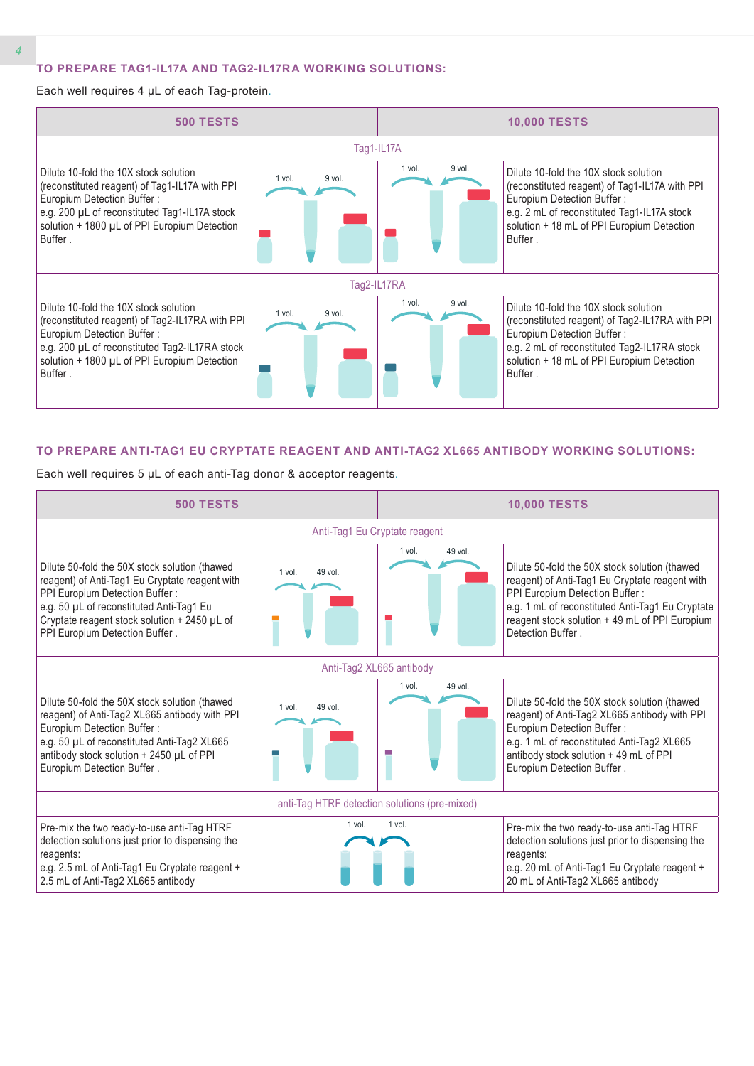### **TO PREPARE TAG1-IL17A AND TAG2-IL17RA WORKING SOLUTIONS:**

Each well requires 4 µL of each Tag-protein.



#### **TO PREPARE ANTI-TAG1 EU CRYPTATE REAGENT AND ANTI-TAG2 XL665 ANTIBODY WORKING SOLUTIONS:**

Each well requires 5 µL of each anti-Tag donor & acceptor reagents.

| <b>500 TESTS</b>                                                                                                                                                                                                                                                |                     |                   | <b>10,000 TESTS</b>                                                                                                                                                                                                                                         |  |  |  |
|-----------------------------------------------------------------------------------------------------------------------------------------------------------------------------------------------------------------------------------------------------------------|---------------------|-------------------|-------------------------------------------------------------------------------------------------------------------------------------------------------------------------------------------------------------------------------------------------------------|--|--|--|
| Anti-Tag1 Eu Cryptate reagent                                                                                                                                                                                                                                   |                     |                   |                                                                                                                                                                                                                                                             |  |  |  |
| Dilute 50-fold the 50X stock solution (thawed<br>reagent) of Anti-Tag1 Eu Cryptate reagent with<br>PPI Europium Detection Buffer:<br>e.g. 50 µL of reconstituted Anti-Tag1 Eu<br>Cryptate reagent stock solution + 2450 µL of<br>PPI Europium Detection Buffer. | 49 vol.<br>$1$ vol. | 49 vol.<br>1 vol. | Dilute 50-fold the 50X stock solution (thawed<br>reagent) of Anti-Tag1 Eu Cryptate reagent with<br>PPI Europium Detection Buffer:<br>e.g. 1 mL of reconstituted Anti-Tag1 Eu Cryptate<br>reagent stock solution + 49 mL of PPI Europium<br>Detection Buffer |  |  |  |
| Anti-Tag2 XL665 antibody                                                                                                                                                                                                                                        |                     |                   |                                                                                                                                                                                                                                                             |  |  |  |
| Dilute 50-fold the 50X stock solution (thawed<br>reagent) of Anti-Tag2 XL665 antibody with PPI<br>Europium Detection Buffer:<br>e.g. 50 µL of reconstituted Anti-Tag2 XL665<br>antibody stock solution + 2450 µL of PPI<br>Europium Detection Buffer.           | 49 vol.<br>1 vol.   | 1 vol.<br>49 vol. | Dilute 50-fold the 50X stock solution (thawed<br>reagent) of Anti-Tag2 XL665 antibody with PPI<br>Europium Detection Buffer:<br>e.g. 1 mL of reconstituted Anti-Tag2 XL665<br>antibody stock solution + 49 mL of PPI<br>Europium Detection Buffer.          |  |  |  |
| anti-Tag HTRF detection solutions (pre-mixed)                                                                                                                                                                                                                   |                     |                   |                                                                                                                                                                                                                                                             |  |  |  |
| Pre-mix the two ready-to-use anti-Tag HTRF<br>detection solutions just prior to dispensing the<br>reagents:<br>e.g. 2.5 mL of Anti-Tag1 Eu Cryptate reagent +<br>2.5 mL of Anti-Tag2 XL665 antibody                                                             | 1 vol.              | 1 vol.            | Pre-mix the two ready-to-use anti-Tag HTRF<br>detection solutions just prior to dispensing the<br>reagents:<br>e.g. 20 mL of Anti-Tag1 Eu Cryptate reagent +<br>20 mL of Anti-Tag2 XL665 antibody                                                           |  |  |  |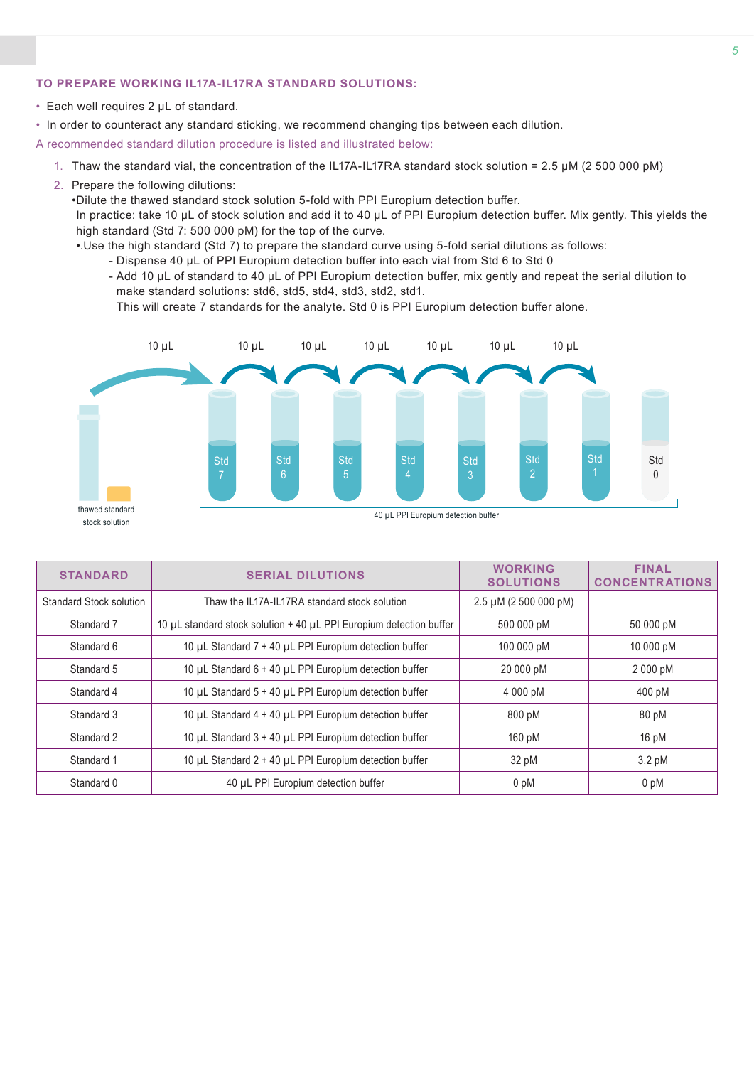### **TO PREPARE WORKING IL17A-IL17RA STANDARD SOLUTIONS:**

- Each well requires 2 µL of standard.
- In order to counteract any standard sticking, we recommend changing tips between each dilution.

A recommended standard dilution procedure is listed and illustrated below:

- 1. Thaw the standard vial, the concentration of the IL17A-IL17RA standard stock solution = 2.5 µM (2 500 000 pM)
- 2. Prepare the following dilutions:

•Dilute the thawed standard stock solution 5-fold with PPI Europium detection buffer.

In practice: take 10 µL of stock solution and add it to 40 µL of PPI Europium detection buffer. Mix gently. This yields the high standard (Std 7: 500 000 pM) for the top of the curve.

- •.Use the high standard (Std 7) to prepare the standard curve using 5-fold serial dilutions as follows:
	- Dispense 40 µL of PPI Europium detection buffer into each vial from Std 6 to Std 0
	- Add 10 µL of standard to 40 µL of PPI Europium detection buffer, mix gently and repeat the serial dilution to make standard solutions: std6, std5, std4, std3, std2, std1.

This will create 7 standards for the analyte. Std 0 is PPI Europium detection buffer alone.

![](_page_4_Figure_12.jpeg)

|                                                                                                | <b>STANDARD</b> | <b>SERIAL DILUTIONS</b>                                             |                            | <b>FINAL</b><br><b>CONCENTRATIONS</b> |
|------------------------------------------------------------------------------------------------|-----------------|---------------------------------------------------------------------|----------------------------|---------------------------------------|
| Standard Stock solution                                                                        |                 | Thaw the IL17A-IL17RA standard stock solution                       | $2.5 \mu M$ (2 500 000 pM) |                                       |
|                                                                                                | Standard 7      | 10 µL standard stock solution + 40 µL PPI Europium detection buffer | 500 000 pM                 | 50 000 pM                             |
| Standard 6<br>Standard 5<br>Standard 4<br>Standard 3<br>Standard 2<br>Standard 1<br>Standard 0 |                 | 10 µL Standard 7 + 40 µL PPI Europium detection buffer              | 100 000 pM                 | 10 000 pM                             |
|                                                                                                |                 | 10 µL Standard 6 + 40 µL PPI Europium detection buffer              | 20 000 pM                  | 2000 pM                               |
|                                                                                                |                 | 10 µL Standard 5 + 40 µL PPI Europium detection buffer              | 4 000 pM                   | 400 pM                                |
|                                                                                                |                 | 10 µL Standard 4 + 40 µL PPI Europium detection buffer              | 800 pM                     | 80 pM                                 |
|                                                                                                |                 | 10 µL Standard 3 + 40 µL PPI Europium detection buffer              | 160 pM                     | 16pM                                  |
|                                                                                                |                 | 10 µL Standard 2 + 40 µL PPI Europium detection buffer              | 32 pM                      | $3.2 \text{ pM}$                      |
|                                                                                                |                 | 40 µL PPI Europium detection buffer                                 | 0 pM                       | 0 <sub>pM</sub>                       |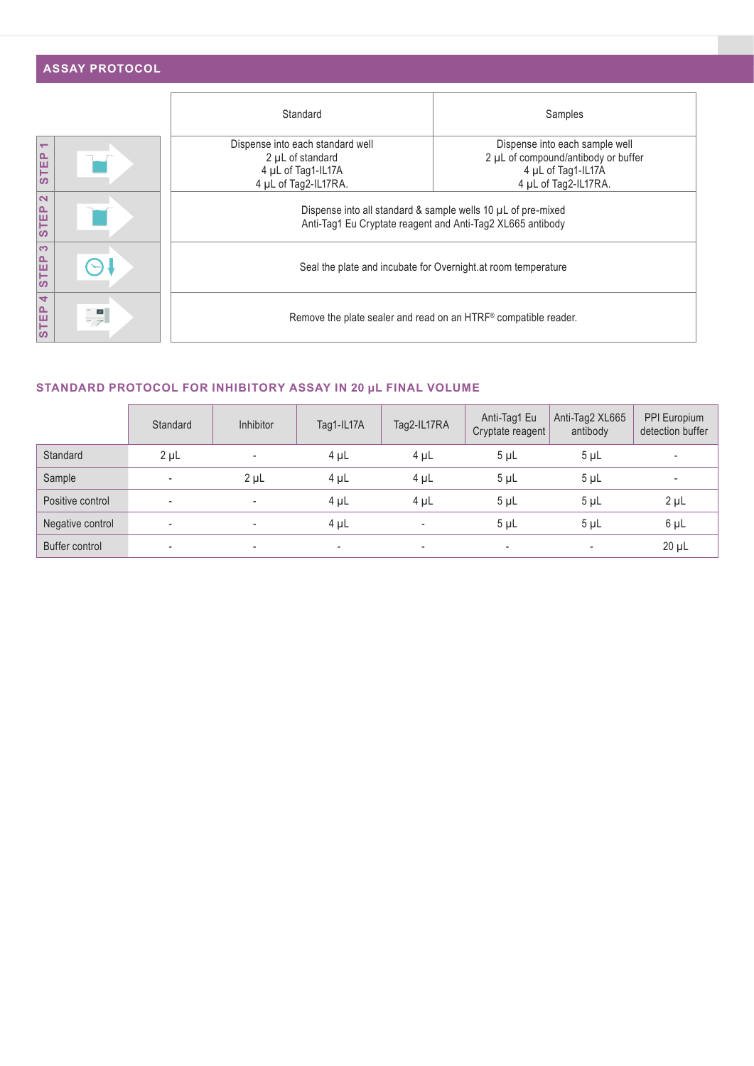|                                      | <b>ASSAY PROTOCOL</b> |                                                                                                    |                                                                                                                            |  |  |  |  |  |
|--------------------------------------|-----------------------|----------------------------------------------------------------------------------------------------|----------------------------------------------------------------------------------------------------------------------------|--|--|--|--|--|
|                                      |                       | Standard                                                                                           | Samples                                                                                                                    |  |  |  |  |  |
| $\overline{\phantom{0}}$<br>TEP<br>ທ |                       | Dispense into each standard well<br>2 µL of standard<br>4 µL of Tag1-IL17A<br>4 µL of Tag2-IL17RA. | Dispense into each sample well<br>2 µL of compound/antibody or buffer<br>4 µL of Tag1-IL17A<br>4 µL of Tag2-IL17RA.        |  |  |  |  |  |
| $\mathbf{\Omega}$<br><b>STEP</b>     |                       |                                                                                                    | Dispense into all standard & sample wells 10 µL of pre-mixed<br>Anti-Tag1 Eu Cryptate reagent and Anti-Tag2 XL665 antibody |  |  |  |  |  |
| က<br>TEP<br>ທ                        |                       | Seal the plate and incubate for Overnight at room temperature                                      |                                                                                                                            |  |  |  |  |  |
| 4<br>TEP<br>ທ                        | $\blacktriangledown$  | Remove the plate sealer and read on an HTRF® compatible reader.                                    |                                                                                                                            |  |  |  |  |  |

## **STANDARD PROTOCOL FOR INHIBITORY ASSAY IN 20 μL FINAL VOLUME**

|                  | Standard                 | <b>Inhibitor</b>         | Tag1-IL17A               | Tag2-IL17RA              | Anti-Tag1 Eu<br>Cryptate reagent | Anti-Tag2 XL665<br>antibody | PPI Europium<br>detection buffer |
|------------------|--------------------------|--------------------------|--------------------------|--------------------------|----------------------------------|-----------------------------|----------------------------------|
| Standard         | $2 \mu L$                | $\overline{\phantom{a}}$ | $4 \mu L$                | $4 \mu L$                | $5 \mu L$                        | $5 \mu L$                   | $\overline{\phantom{a}}$         |
| Sample           | $\sim$                   | $2 \mu L$                | $4 \mu L$                | $4 \mu L$                | $5 \mu L$                        | 5 <sub>µ</sub>              |                                  |
| Positive control | $\overline{\phantom{a}}$ | $\overline{\phantom{a}}$ | $4 \mu L$                | $4 \mu L$                | $5 \mu L$                        | $5 \mu L$                   | $2 \mu L$                        |
| Negative control | $\overline{\phantom{a}}$ |                          | 4 µL                     | $\overline{\phantom{a}}$ | $5 \mu L$                        | 5 <sub>µ</sub>              | $6 \mu L$                        |
| Buffer control   | $\overline{\phantom{a}}$ | ۰                        | $\overline{\phantom{a}}$ | $\overline{\phantom{a}}$ | $\overline{\phantom{a}}$         | $\overline{\phantom{a}}$    | $20 \mu L$                       |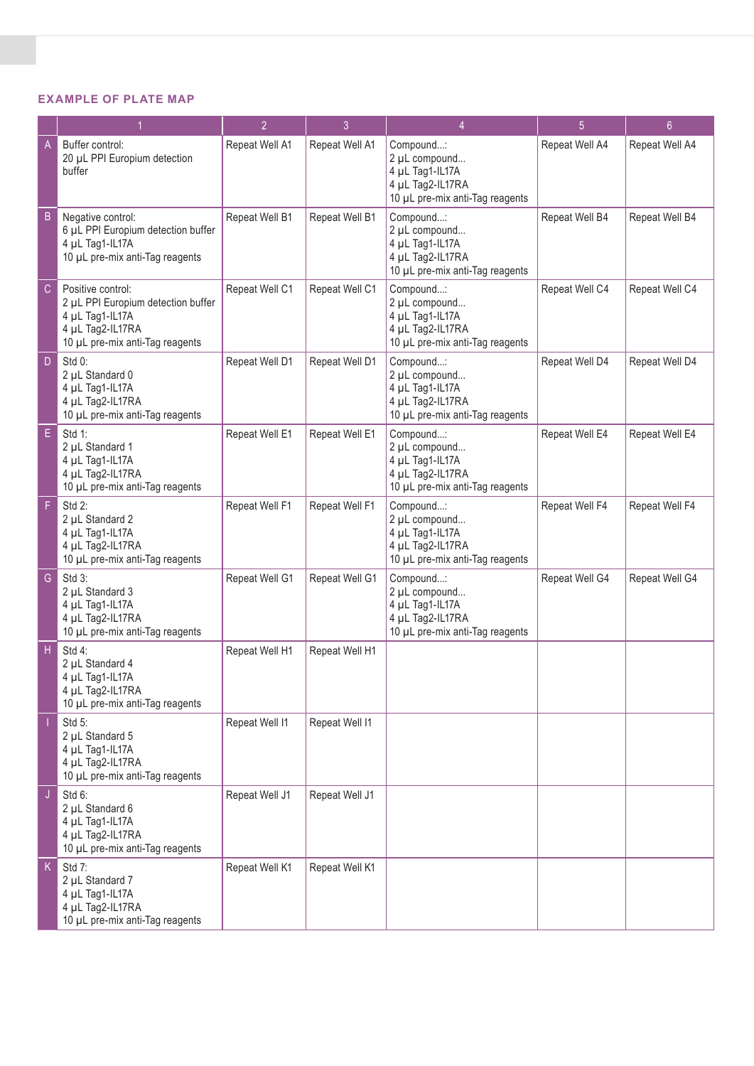### **EXAMPLE OF PLATE MAP**

|             |                                                                                                                                   | $\overline{2}$ | $\overline{3}$ | 4                                                                                                    | $\overline{5}$ | 6 <sup>°</sup> |
|-------------|-----------------------------------------------------------------------------------------------------------------------------------|----------------|----------------|------------------------------------------------------------------------------------------------------|----------------|----------------|
| A           | Buffer control:<br>20 µL PPI Europium detection<br>buffer                                                                         | Repeat Well A1 | Repeat Well A1 | Compound:<br>2 µL compound<br>4 µL Tag1-IL17A<br>4 µL Tag2-IL17RA<br>10 µL pre-mix anti-Tag reagents | Repeat Well A4 | Repeat Well A4 |
| B           | Negative control:<br>6 µL PPI Europium detection buffer<br>4 µL Tag1-IL17A<br>10 µL pre-mix anti-Tag reagents                     | Repeat Well B1 | Repeat Well B1 | Compound:<br>2 µL compound<br>4 µL Tag1-IL17A<br>4 µL Tag2-IL17RA<br>10 µL pre-mix anti-Tag reagents | Repeat Well B4 | Repeat Well B4 |
| $\mathsf C$ | Positive control:<br>2 µL PPI Europium detection buffer<br>4 µL Tag1-IL17A<br>4 µL Tag2-IL17RA<br>10 µL pre-mix anti-Tag reagents | Repeat Well C1 | Repeat Well C1 | Compound:<br>2 µL compound<br>4 µL Tag1-IL17A<br>4 µL Tag2-IL17RA<br>10 µL pre-mix anti-Tag reagents | Repeat Well C4 | Repeat Well C4 |
| D           | Std 0:<br>2 µL Standard 0<br>4 µL Tag1-IL17A<br>4 µL Tag2-IL17RA<br>10 µL pre-mix anti-Tag reagents                               | Repeat Well D1 | Repeat Well D1 | Compound:<br>2 µL compound<br>4 µL Tag1-IL17A<br>4 µL Tag2-IL17RA<br>10 µL pre-mix anti-Tag reagents | Repeat Well D4 | Repeat Well D4 |
| E.          | Std 1:<br>2 µL Standard 1<br>4 µL Tag1-IL17A<br>4 µL Tag2-IL17RA<br>10 µL pre-mix anti-Tag reagents                               | Repeat Well E1 | Repeat Well E1 | Compound:<br>2 µL compound<br>4 µL Tag1-IL17A<br>4 µL Tag2-IL17RA<br>10 µL pre-mix anti-Tag reagents | Repeat Well E4 | Repeat Well E4 |
| F           | Std 2:<br>2 µL Standard 2<br>4 µL Tag1-IL17A<br>4 µL Tag2-IL17RA<br>10 µL pre-mix anti-Tag reagents                               | Repeat Well F1 | Repeat Well F1 | Compound:<br>2 µL compound<br>4 µL Tag1-IL17A<br>4 µL Tag2-IL17RA<br>10 µL pre-mix anti-Tag reagents | Repeat Well F4 | Repeat Well F4 |
| G           | Std 3:<br>2 µL Standard 3<br>4 µL Tag1-IL17A<br>4 µL Tag2-IL17RA<br>10 µL pre-mix anti-Tag reagents                               | Repeat Well G1 | Repeat Well G1 | Compound:<br>2 µL compound<br>4 µL Tag1-IL17A<br>4 µL Tag2-IL17RA<br>10 µL pre-mix anti-Tag reagents | Repeat Well G4 | Repeat Well G4 |
| Н           | Std 4:<br>2 µL Standard 4<br>4 µL Tag1-IL17A<br>4 µL Tag2-IL17RA<br>10 µL pre-mix anti-Tag reagents                               | Repeat Well H1 | Repeat Well H1 |                                                                                                      |                |                |
|             | Std 5:<br>2 µL Standard 5<br>4 µL Tag1-IL17A<br>4 µL Tag2-IL17RA<br>10 µL pre-mix anti-Tag reagents                               | Repeat Well I1 | Repeat Well I1 |                                                                                                      |                |                |
| J           | Std 6:<br>2 µL Standard 6<br>4 µL Tag1-IL17A<br>4 µL Tag2-IL17RA<br>10 µL pre-mix anti-Tag reagents                               | Repeat Well J1 | Repeat Well J1 |                                                                                                      |                |                |
| K.          | Std 7:<br>2 µL Standard 7<br>4 µL Tag1-IL17A<br>4 µL Tag2-IL17RA<br>10 µL pre-mix anti-Tag reagents                               | Repeat Well K1 | Repeat Well K1 |                                                                                                      |                |                |